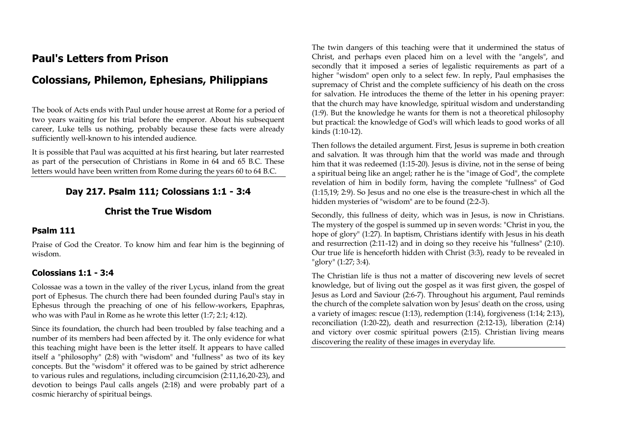# **Paul's Letters from Prison**

# **Colossians, Philemon, Ephesians, Philippians**

The book of Acts ends with Paul under house arrest at Rome for a period of two years waiting for his trial before the emperor. About his subsequent career, Luke tells us nothing, probably because these facts were already sufficiently well-known to his intended audience.

It is possible that Paul was acquitted at his first hearing, but later rearrested as part of the persecution of Christians in Rome in 64 and 65 B.C. These letters would have been written from Rome during the years 60 to 64 B.C.

# **Day 217. Psalm 111; Colossians 1:1 - 3:4**

## **Christ the True Wisdom**

## **Psalm 111**

Praise of God the Creator. To know him and fear him is the beginning of wisdom.

## **Colossians 1:1 - 3:4**

Colossae was a town in the valley of the river Lycus, inland from the great port of Ephesus. The church there had been founded during Paul's stay in Ephesus through the preaching of one of his fellow-workers, Epaphras, who was with Paul in Rome as he wrote this letter (1:7; 2:1; 4:12).

Since its foundation, the church had been troubled by false teaching and a number of its members had been affected by it. The only evidence for what this teaching might have been is the letter itself. It appears to have called itself a "philosophy" (2:8) with "wisdom" and "fullness" as two of its key concepts. But the "wisdom" it offered was to be gained by strict adherence to various rules and regulations, including circumcision (2:11,16,20-23), and devotion to beings Paul calls angels (2:18) and were probably part of a cosmic hierarchy of spiritual beings.

The twin dangers of this teaching were that it undermined the status of Christ, and perhaps even placed him on a level with the "angels", and secondly that it imposed a series of legalistic requirements as part of a higher "wisdom" open only to a select few. In reply, Paul emphasises the supremacy of Christ and the complete sufficiency of his death on the cross for salvation. He introduces the theme of the letter in his opening prayer: that the church may have knowledge, spiritual wisdom and understanding (1:9). But the knowledge he wants for them is not a theoretical philosophy but practical: the knowledge of God's will which leads to good works of all kinds (1:10-12).

Then follows the detailed argument. First, Jesus is supreme in both creation and salvation. It was through him that the world was made and through him that it was redeemed (1:15-20). Jesus is divine, not in the sense of being a spiritual being like an angel; rather he is the "image of God", the complete revelation of him in bodily form, having the complete "fullness" of God (1:15,19; 2:9). So Jesus and no one else is the treasure-chest in which all the hidden mysteries of "wisdom" are to be found (2:2-3).

Secondly, this fullness of deity, which was in Jesus, is now in Christians. The mystery of the gospel is summed up in seven words: "Christ in you, the hope of glory" (1:27). In baptism, Christians identify with Jesus in his death and resurrection (2:11-12) and in doing so they receive his "fullness" (2:10). Our true life is henceforth hidden with Christ (3:3), ready to be revealed in "glory" (1:27; 3:4).

The Christian life is thus not a matter of discovering new levels of secret knowledge, but of living out the gospel as it was first given, the gospel of Jesus as Lord and Saviour (2:6-7). Throughout his argument, Paul reminds the church of the complete salvation won by Jesus' death on the cross, using a variety of images: rescue (1:13), redemption (1:14), forgiveness (1:14; 2:13), reconciliation (1:20-22), death and resurrection (2:12-13), liberation (2:14) and victory over cosmic spiritual powers (2:15). Christian living means discovering the reality of these images in everyday life.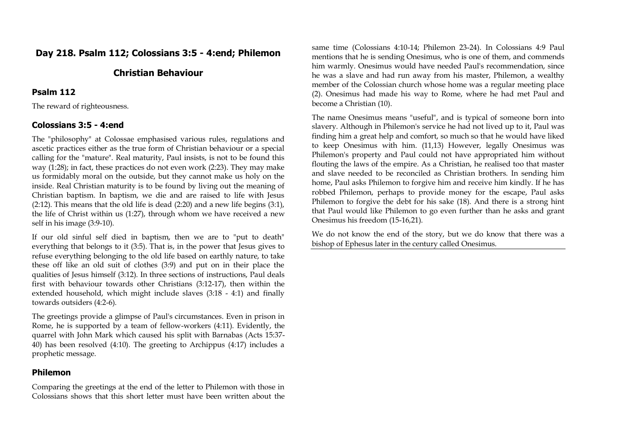# **Day 218. Psalm 112; Colossians 3:5 - 4:end; Philemon**

# **Christian Behaviour**

#### **Psalm 112**

The reward of righteousness.

#### **Colossians 3:5 - 4:end**

The "philosophy" at Colossae emphasised various rules, regulations and ascetic practices either as the true form of Christian behaviour or a special calling for the "mature". Real maturity, Paul insists, is not to be found this way (1:28); in fact, these practices do not even work (2:23). They may make us formidably moral on the outside, but they cannot make us holy on the inside. Real Christian maturity is to be found by living out the meaning of Christian baptism. In baptism, we die and are raised to life with Jesus (2:12). This means that the old life is dead (2:20) and a new life begins (3:1), the life of Christ within us (1:27), through whom we have received a new self in his image (3:9-10).

If our old sinful self died in baptism, then we are to "put to death" everything that belongs to it (3:5). That is, in the power that Jesus gives to refuse everything belonging to the old life based on earthly nature, to take these off like an old suit of clothes (3:9) and put on in their place the qualities of Jesus himself (3:12). In three sections of instructions, Paul deals first with behaviour towards other Christians (3:12-17), then within the extended household, which might include slaves (3:18 - 4:1) and finally towards outsiders (4:2-6).

The greetings provide a glimpse of Paul's circumstances. Even in prison in Rome, he is supported by a team of fellow-workers (4:11). Evidently, the quarrel with John Mark which caused his split with Barnabas (Acts 15:37- 40) has been resolved (4:10). The greeting to Archippus (4:17) includes a prophetic message.

#### **Philemon**

Comparing the greetings at the end of the letter to Philemon with those in Colossians shows that this short letter must have been written about the

same time (Colossians 4:10-14; Philemon 23-24). In Colossians 4:9 Paul mentions that he is sending Onesimus, who is one of them, and commends him warmly. Onesimus would have needed Paul's recommendation, since he was a slave and had run away from his master, Philemon, a wealthy member of the Colossian church whose home was a regular meeting place (2). Onesimus had made his way to Rome, where he had met Paul and become a Christian (10).

The name Onesimus means "useful", and is typical of someone born into slavery. Although in Philemon's service he had not lived up to it, Paul was finding him a great help and comfort, so much so that he would have liked to keep Onesimus with him. (11,13) However, legally Onesimus was Philemon's property and Paul could not have appropriated him without flouting the laws of the empire. As a Christian, he realised too that master and slave needed to be reconciled as Christian brothers. In sending him home, Paul asks Philemon to forgive him and receive him kindly. If he has robbed Philemon, perhaps to provide money for the escape, Paul asks Philemon to forgive the debt for his sake (18). And there is a strong hint that Paul would like Philemon to go even further than he asks and grant Onesimus his freedom (15-16,21).

We do not know the end of the story, but we do know that there was a bishop of Ephesus later in the century called Onesimus.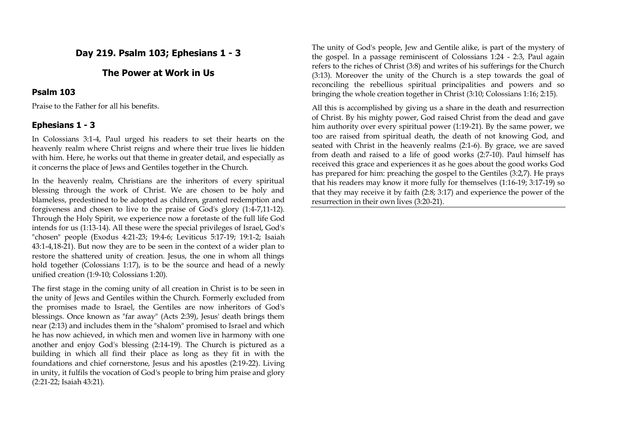# **Day 219. Psalm 103; Ephesians 1 - 3**

# **The Power at Work in Us**

#### **Psalm 103**

Praise to the Father for all his benefits.

# **Ephesians 1 - 3**

In Colossians 3:1-4, Paul urged his readers to set their hearts on the heavenly realm where Christ reigns and where their true lives lie hidden with him. Here, he works out that theme in greater detail, and especially as it concerns the place of Jews and Gentiles together in the Church.

In the heavenly realm, Christians are the inheritors of every spiritual blessing through the work of Christ. We are chosen to be holy and blameless, predestined to be adopted as children, granted redemption and forgiveness and chosen to live to the praise of God's glory (1:4-7,11-12). Through the Holy Spirit, we experience now a foretaste of the full life God intends for us (1:13-14). All these were the special privileges of Israel, God's "chosen" people (Exodus 4:21-23; 19:4-6; Leviticus 5:17-19; 19:1-2; Isaiah 43:1-4,18-21). But now they are to be seen in the context of a wider plan to restore the shattered unity of creation. Jesus, the one in whom all things hold together (Colossians 1:17), is to be the source and head of a newly unified creation (1:9-10; Colossians 1:20).

The first stage in the coming unity of all creation in Christ is to be seen in the unity of Jews and Gentiles within the Church. Formerly excluded from the promises made to Israel, the Gentiles are now inheritors of God's blessings. Once known as "far away" (Acts 2:39), Jesus' death brings them near (2:13) and includes them in the "shalom" promised to Israel and which he has now achieved, in which men and women live in harmony with one another and enjoy God's blessing (2:14-19). The Church is pictured as a building in which all find their place as long as they fit in with the foundations and chief cornerstone, Jesus and his apostles (2:19-22). Living in unity, it fulfils the vocation of God's people to bring him praise and glory (2:21-22; Isaiah 43:21).

The unity of God's people, Jew and Gentile alike, is part of the mystery of the gospel. In a passage reminiscent of Colossians 1:24 - 2:3, Paul again refers to the riches of Christ (3:8) and writes of his sufferings for the Church (3:13). Moreover the unity of the Church is a step towards the goal of reconciling the rebellious spiritual principalities and powers and so bringing the whole creation together in Christ (3:10; Colossians 1:16; 2:15).

All this is accomplished by giving us a share in the death and resurrection of Christ. By his mighty power, God raised Christ from the dead and gave him authority over every spiritual power (1:19-21). By the same power, we too are raised from spiritual death, the death of not knowing God, and seated with Christ in the heavenly realms (2:1-6). By grace, we are saved from death and raised to a life of good works (2:7-10). Paul himself has received this grace and experiences it as he goes about the good works God has prepared for him: preaching the gospel to the Gentiles (3:2,7). He prays that his readers may know it more fully for themselves (1:16-19; 3:17-19) so that they may receive it by faith (2:8; 3:17) and experience the power of the resurrection in their own lives (3:20-21).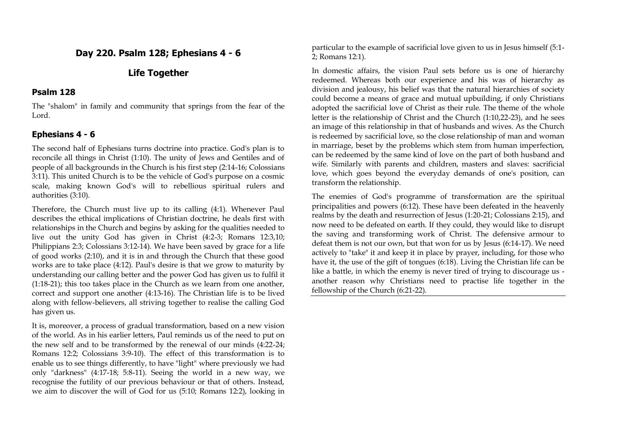## **Day 220. Psalm 128; Ephesians 4 - 6**

# **Life Together**

### **Psalm 128**

The "shalom" in family and community that springs from the fear of the Lord.

# **Ephesians 4 - 6**

The second half of Ephesians turns doctrine into practice. God's plan is to reconcile all things in Christ (1:10). The unity of Jews and Gentiles and of people of all backgrounds in the Church is his first step (2:14-16; Colossians 3:11). This united Church is to be the vehicle of God's purpose on a cosmic scale, making known God's will to rebellious spiritual rulers and authorities (3:10).

Therefore, the Church must live up to its calling (4:1). Whenever Paul describes the ethical implications of Christian doctrine, he deals first with relationships in the Church and begins by asking for the qualities needed to live out the unity God has given in Christ (4:2-3; Romans 12:3,10; Philippians 2:3; Colossians 3:12-14). We have been saved by grace for a life of good works (2:10), and it is in and through the Church that these good works are to take place (4:12). Paul's desire is that we grow to maturity by understanding our calling better and the power God has given us to fulfil it (1:18-21); this too takes place in the Church as we learn from one another, correct and support one another (4:13-16). The Christian life is to be lived along with fellow-believers, all striving together to realise the calling God has given us.

It is, moreover, a process of gradual transformation, based on a new vision of the world. As in his earlier letters, Paul reminds us of the need to put on the new self and to be transformed by the renewal of our minds (4:22-24; Romans 12:2; Colossians 3:9-10). The effect of this transformation is to enable us to see things differently, to have "light" where previously we had only "darkness" (4:17-18; 5:8-11). Seeing the world in a new way, we recognise the futility of our previous behaviour or that of others. Instead, we aim to discover the will of God for us (5:10; Romans 12:2), looking in particular to the example of sacrificial love given to us in Jesus himself (5:1- 2; Romans 12:1).

In domestic affairs, the vision Paul sets before us is one of hierarchy redeemed. Whereas both our experience and his was of hierarchy as division and jealousy, his belief was that the natural hierarchies of society could become a means of grace and mutual upbuilding, if only Christians adopted the sacrificial love of Christ as their rule. The theme of the whole letter is the relationship of Christ and the Church (1:10,22-23), and he sees an image of this relationship in that of husbands and wives. As the Church is redeemed by sacrificial love, so the close relationship of man and woman in marriage, beset by the problems which stem from human imperfection, can be redeemed by the same kind of love on the part of both husband and wife. Similarly with parents and children, masters and slaves: sacrificial love, which goes beyond the everyday demands of one's position, can transform the relationship.

The enemies of God's programme of transformation are the spiritual principalities and powers (6:12). These have been defeated in the heavenly realms by the death and resurrection of Jesus (1:20-21; Colossians 2:15), and now need to be defeated on earth. If they could, they would like to disrupt the saving and transforming work of Christ. The defensive armour to defeat them is not our own, but that won for us by Jesus (6:14-17). We need actively to "take" it and keep it in place by prayer, including, for those who have it, the use of the gift of tongues (6:18). Living the Christian life can be like a battle, in which the enemy is never tired of trying to discourage us another reason why Christians need to practise life together in the fellowship of the Church (6:21-22).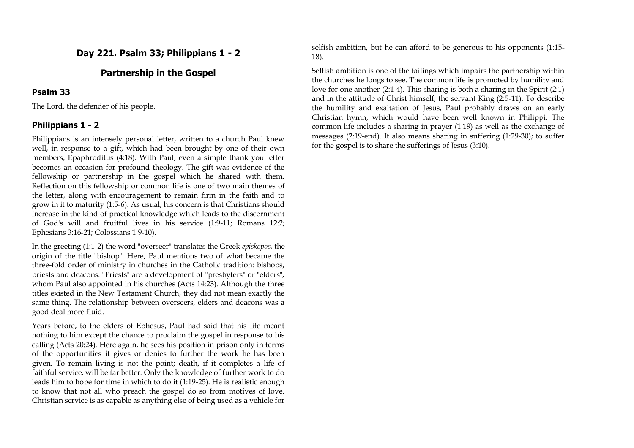## **Day 221. Psalm 33; Philippians 1 - 2**

## **Partnership in the Gospel**

#### **Psalm 33**

The Lord, the defender of his people.

#### **Philippians 1 - 2**

Philippians is an intensely personal letter, written to a church Paul knew well, in response to a gift, which had been brought by one of their own members, Epaphroditus (4:18). With Paul, even a simple thank you letter becomes an occasion for profound theology. The gift was evidence of the fellowship or partnership in the gospel which he shared with them. Reflection on this fellowship or common life is one of two main themes of the letter, along with encouragement to remain firm in the faith and to grow in it to maturity (1:5-6). As usual, his concern is that Christians should increase in the kind of practical knowledge which leads to the discernment of God's will and fruitful lives in his service (1:9-11; Romans 12:2; Ephesians 3:16-21; Colossians 1:9-10).

In the greeting (1:1-2) the word "overseer" translates the Greek *episkopos*, the origin of the title "bishop". Here, Paul mentions two of what became the three-fold order of ministry in churches in the Catholic tradition: bishops, priests and deacons. "Priests" are a development of "presbyters" or "elders", whom Paul also appointed in his churches (Acts 14:23). Although the three titles existed in the New Testament Church, they did not mean exactly the same thing. The relationship between overseers, elders and deacons was a good deal more fluid.

Years before, to the elders of Ephesus, Paul had said that his life meant nothing to him except the chance to proclaim the gospel in response to his calling (Acts 20:24). Here again, he sees his position in prison only in terms of the opportunities it gives or denies to further the work he has been given. To remain living is not the point; death, if it completes a life of faithful service, will be far better. Only the knowledge of further work to do leads him to hope for time in which to do it (1:19-25). He is realistic enough to know that not all who preach the gospel do so from motives of love. Christian service is as capable as anything else of being used as a vehicle for selfish ambition, but he can afford to be generous to his opponents (1:15- 18).

Selfish ambition is one of the failings which impairs the partnership within the churches he longs to see. The common life is promoted by humility and love for one another (2:1-4). This sharing is both a sharing in the Spirit (2:1) and in the attitude of Christ himself, the servant King (2:5-11). To describe the humility and exaltation of Jesus, Paul probably draws on an early Christian hymn, which would have been well known in Philippi. The common life includes a sharing in prayer (1:19) as well as the exchange of messages (2:19-end). It also means sharing in suffering (1:29-30); to suffer for the gospel is to share the sufferings of Jesus (3:10).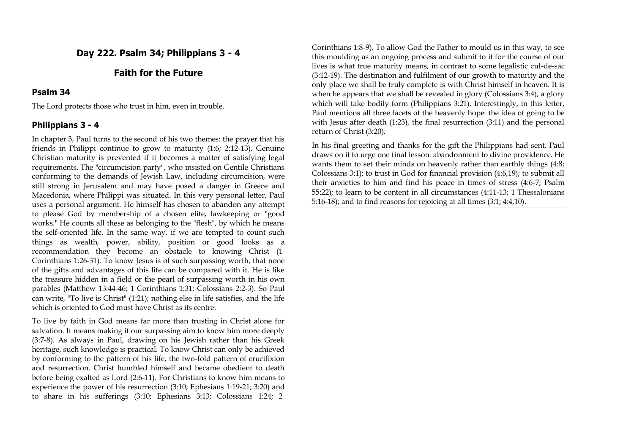## **Day 222. Psalm 34; Philippians 3 - 4**

# **Faith for the Future**

#### **Psalm 34**

The Lord protects those who trust in him, even in trouble.

#### **Philippians 3 - 4**

In chapter 3, Paul turns to the second of his two themes: the prayer that his friends in Philippi continue to grow to maturity (1:6; 2:12-13). Genuine Christian maturity is prevented if it becomes a matter of satisfying legal requirements. The "circumcision party", who insisted on Gentile Christians conforming to the demands of Jewish Law, including circumcision, were still strong in Jerusalem and may have posed a danger in Greece and Macedonia, where Philippi was situated. In this very personal letter, Paul uses a personal argument. He himself has chosen to abandon any attempt to please God by membership of a chosen elite, lawkeeping or "good works." He counts all these as belonging to the "flesh", by which he means the self-oriented life. In the same way, if we are tempted to count such things as wealth, power, ability, position or good looks as a recommendation they become an obstacle to knowing Christ (1 Corinthians 1:26-31). To know Jesus is of such surpassing worth, that none of the gifts and advantages of this life can be compared with it. He is like the treasure hidden in a field or the pearl of surpassing worth in his own parables (Matthew 13:44-46; 1 Corinthians 1:31; Colossians 2:2-3). So Paul can write, "To live is Christ" (1:21); nothing else in life satisfies, and the life which is oriented to God must have Christ as its centre.

To live by faith in God means far more than trusting in Christ alone for salvation. It means making it our surpassing aim to know him more deeply (3:7-8). As always in Paul, drawing on his Jewish rather than his Greek heritage, such knowledge is practical. To know Christ can only be achieved by conforming to the pattern of his life, the two-fold pattern of crucifixion and resurrection. Christ humbled himself and became obedient to death before being exalted as Lord (2:6-11). For Christians to know him means to experience the power of his resurrection (3:10; Ephesians 1:19-21; 3:20) and to share in his sufferings (3:10; Ephesians 3:13; Colossians 1:24; 2

Corinthians 1:8-9). To allow God the Father to mould us in this way, to see this moulding as an ongoing process and submit to it for the course of our lives is what true maturity means, in contrast to some legalistic cul-de-sac (3:12-19). The destination and fulfilment of our growth to maturity and the only place we shall be truly complete is with Christ himself in heaven. It is when he appears that we shall be revealed in glory (Colossians 3:4), a glory which will take bodily form (Philippians 3:21). Interestingly, in this letter, Paul mentions all three facets of the heavenly hope: the idea of going to be with Jesus after death (1:23), the final resurrection (3:11) and the personal return of Christ (3:20).

In his final greeting and thanks for the gift the Philippians had sent, Paul draws on it to urge one final lesson: abandonment to divine providence. He wants them to set their minds on heavenly rather than earthly things  $(4:8;$ Colossians 3:1); to trust in God for financial provision (4:6,19); to submit all their anxieties to him and find his peace in times of stress (4:6-7; Psalm 55:22); to learn to be content in all circumstances (4:11-13; 1 Thessalonians 5:16-18); and to find reasons for rejoicing at all times (3:1; 4:4,10).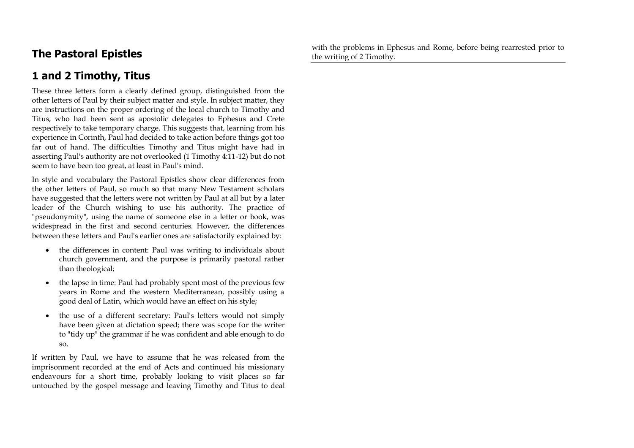# **The Pastoral Epistles**

with the problems in Ephesus and Rome, before being rearrested prior to the writing of 2 Timothy.

# **1 and 2 Timothy, Titus**

These three letters form a clearly defined group, distinguished from the other letters of Paul by their subject matter and style. In subject matter, they are instructions on the proper ordering of the local church to Timothy and Titus, who had been sent as apostolic delegates to Ephesus and Crete respectively to take temporary charge. This suggests that, learning from his experience in Corinth, Paul had decided to take action before things got too far out of hand. The difficulties Timothy and Titus might have had in asserting Paul's authority are not overlooked (1 Timothy 4:11-12) but do not seem to have been too great, at least in Paul's mind.

In style and vocabulary the Pastoral Epistles show clear differences from the other letters of Paul, so much so that many New Testament scholars have suggested that the letters were not written by Paul at all but by a later leader of the Church wishing to use his authority. The practice of "pseudonymity", using the name of someone else in a letter or book, was widespread in the first and second centuries. However, the differences between these letters and Paul's earlier ones are satisfactorily explained by:

- the differences in content: Paul was writing to individuals about church government, and the purpose is primarily pastoral rather than theological;
- the lapse in time: Paul had probably spent most of the previous few years in Rome and the western Mediterranean, possibly using a good deal of Latin, which would have an effect on his style;
- the use of a different secretary: Paul's letters would not simply have been given at dictation speed; there was scope for the writer to "tidy up" the grammar if he was confident and able enough to do so.

If written by Paul, we have to assume that he was released from the imprisonment recorded at the end of Acts and continued his missionary endeavours for a short time, probably looking to visit places so far untouched by the gospel message and leaving Timothy and Titus to deal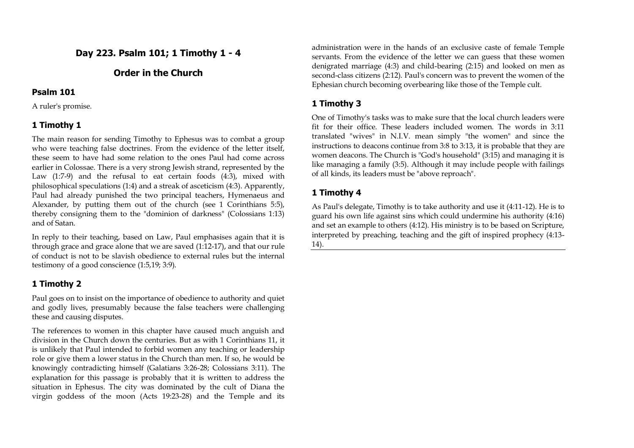## **Day 223. Psalm 101; 1 Timothy 1 - 4**

# **Order in the Church**

#### **Psalm 101**

A ruler's promise.

## **1 Timothy 1**

The main reason for sending Timothy to Ephesus was to combat a group who were teaching false doctrines. From the evidence of the letter itself, these seem to have had some relation to the ones Paul had come across earlier in Colossae. There is a very strong Jewish strand, represented by the Law (1:7-9) and the refusal to eat certain foods (4:3), mixed with philosophical speculations (1:4) and a streak of asceticism (4:3). Apparently, Paul had already punished the two principal teachers, Hymenaeus and Alexander, by putting them out of the church (see 1 Corinthians 5:5), thereby consigning them to the "dominion of darkness" (Colossians 1:13) and of Satan.

In reply to their teaching, based on Law, Paul emphasises again that it is through grace and grace alone that we are saved (1:12-17), and that our rule of conduct is not to be slavish obedience to external rules but the internal testimony of a good conscience (1:5,19; 3:9).

# **1 Timothy 2**

Paul goes on to insist on the importance of obedience to authority and quiet and godly lives, presumably because the false teachers were challenging these and causing disputes.

The references to women in this chapter have caused much anguish and division in the Church down the centuries. But as with 1 Corinthians 11, it is unlikely that Paul intended to forbid women any teaching or leadership role or give them a lower status in the Church than men. If so, he would be knowingly contradicting himself (Galatians 3:26-28; Colossians 3:11). The explanation for this passage is probably that it is written to address the situation in Ephesus. The city was dominated by the cult of Diana the virgin goddess of the moon (Acts 19:23-28) and the Temple and its administration were in the hands of an exclusive caste of female Temple servants. From the evidence of the letter we can guess that these women denigrated marriage (4:3) and child-bearing (2:15) and looked on men as second-class citizens (2:12). Paul's concern was to prevent the women of the Ephesian church becoming overbearing like those of the Temple cult.

# **1 Timothy 3**

One of Timothy's tasks was to make sure that the local church leaders were fit for their office. These leaders included women. The words in 3:11 translated "wives" in N.I.V. mean simply "the women" and since the instructions to deacons continue from 3:8 to 3:13, it is probable that they are women deacons. The Church is "God's household" (3:15) and managing it is like managing a family (3:5). Although it may include people with failings of all kinds, its leaders must be "above reproach".

# **1 Timothy 4**

As Paul's delegate, Timothy is to take authority and use it (4:11-12). He is to guard his own life against sins which could undermine his authority (4:16) and set an example to others (4:12). His ministry is to be based on Scripture, interpreted by preaching, teaching and the gift of inspired prophecy (4:13- 14).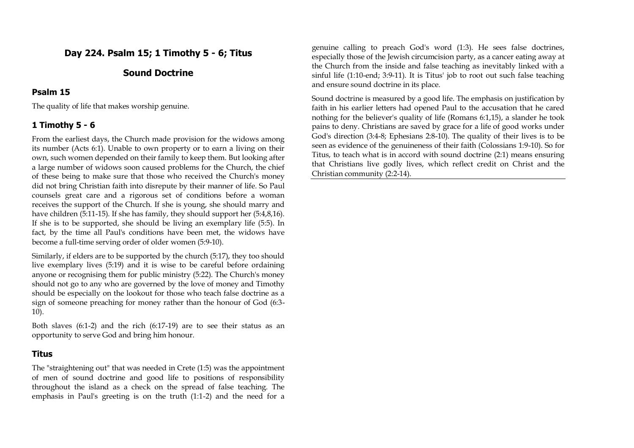# **Day 224. Psalm 15; 1 Timothy 5 - 6; Titus**

# **Sound Doctrine**

#### **Psalm 15**

The quality of life that makes worship genuine.

## **1 Timothy 5 - 6**

From the earliest days, the Church made provision for the widows among its number (Acts 6:1). Unable to own property or to earn a living on their own, such women depended on their family to keep them. But looking after a large number of widows soon caused problems for the Church, the chief of these being to make sure that those who received the Church's money did not bring Christian faith into disrepute by their manner of life. So Paul counsels great care and a rigorous set of conditions before a woman receives the support of the Church. If she is young, she should marry and have children (5:11-15). If she has family, they should support her (5:4,8,16). If she is to be supported, she should be living an exemplary life (5:5). In fact, by the time all Paul's conditions have been met, the widows have become a full-time serving order of older women (5:9-10).

Similarly, if elders are to be supported by the church (5:17), they too should live exemplary lives (5:19) and it is wise to be careful before ordaining anyone or recognising them for public ministry (5:22). The Church's money should not go to any who are governed by the love of money and Timothy should be especially on the lookout for those who teach false doctrine as a sign of someone preaching for money rather than the honour of God (6:3- 10).

Both slaves (6:1-2) and the rich (6:17-19) are to see their status as an opportunity to serve God and bring him honour.

## **Titus**

The "straightening out" that was needed in Crete (1:5) was the appointment of men of sound doctrine and good life to positions of responsibility throughout the island as a check on the spread of false teaching. The emphasis in Paul's greeting is on the truth (1:1-2) and the need for a genuine calling to preach God's word (1:3). He sees false doctrines, especially those of the Jewish circumcision party, as a cancer eating away at the Church from the inside and false teaching as inevitably linked with a sinful life (1:10-end; 3:9-11). It is Titus' job to root out such false teaching and ensure sound doctrine in its place.

Sound doctrine is measured by a good life. The emphasis on justification by faith in his earlier letters had opened Paul to the accusation that he cared nothing for the believer's quality of life (Romans 6:1,15), a slander he took pains to deny. Christians are saved by grace for a life of good works under God's direction (3:4-8; Ephesians 2:8-10). The quality of their lives is to be seen as evidence of the genuineness of their faith (Colossians 1:9-10). So for Titus, to teach what is in accord with sound doctrine (2:1) means ensuring that Christians live godly lives, which reflect credit on Christ and the Christian community (2:2-14).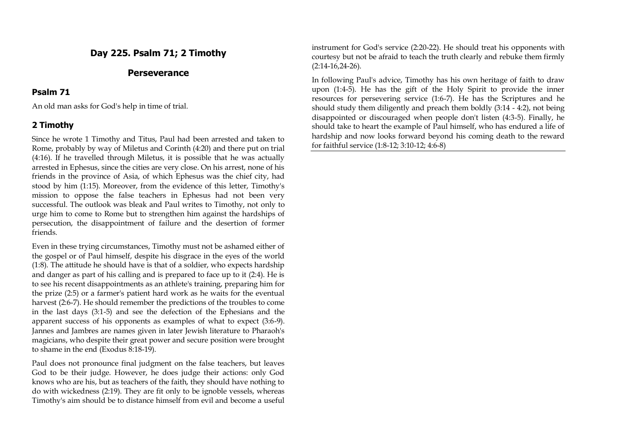## **Day 225. Psalm 71; 2 Timothy**

#### **Perseverance**

#### **Psalm 71**

An old man asks for God's help in time of trial.

#### **2 Timothy**

Since he wrote 1 Timothy and Titus, Paul had been arrested and taken to Rome, probably by way of Miletus and Corinth (4:20) and there put on trial (4:16). If he travelled through Miletus, it is possible that he was actually arrested in Ephesus, since the cities are very close. On his arrest, none of his friends in the province of Asia, of which Ephesus was the chief city, had stood by him (1:15). Moreover, from the evidence of this letter, Timothy's mission to oppose the false teachers in Ephesus had not been very successful. The outlook was bleak and Paul writes to Timothy, not only to urge him to come to Rome but to strengthen him against the hardships of persecution, the disappointment of failure and the desertion of former friends.

Even in these trying circumstances, Timothy must not be ashamed either of the gospel or of Paul himself, despite his disgrace in the eyes of the world (1:8). The attitude he should have is that of a soldier, who expects hardship and danger as part of his calling and is prepared to face up to it (2:4). He is to see his recent disappointments as an athlete's training, preparing him for the prize (2:5) or a farmer's patient hard work as he waits for the eventual harvest (2:6-7). He should remember the predictions of the troubles to come in the last days (3:1-5) and see the defection of the Ephesians and the apparent success of his opponents as examples of what to expect (3:6-9). Jannes and Jambres are names given in later Jewish literature to Pharaoh's magicians, who despite their great power and secure position were brought to shame in the end (Exodus 8:18-19).

Paul does not pronounce final judgment on the false teachers, but leaves God to be their judge. However, he does judge their actions: only God knows who are his, but as teachers of the faith, they should have nothing to do with wickedness (2:19). They are fit only to be ignoble vessels, whereas Timothy's aim should be to distance himself from evil and become a useful instrument for God's service (2:20-22). He should treat his opponents with courtesy but not be afraid to teach the truth clearly and rebuke them firmly (2:14-16,24-26).

In following Paul's advice, Timothy has his own heritage of faith to draw upon (1:4-5). He has the gift of the Holy Spirit to provide the inner resources for persevering service (1:6-7). He has the Scriptures and he should study them diligently and preach them boldly (3:14 - 4:2), not being disappointed or discouraged when people don't listen (4:3-5). Finally, he should take to heart the example of Paul himself, who has endured a life of hardship and now looks forward beyond his coming death to the reward for faithful service (1:8-12; 3:10-12; 4:6-8)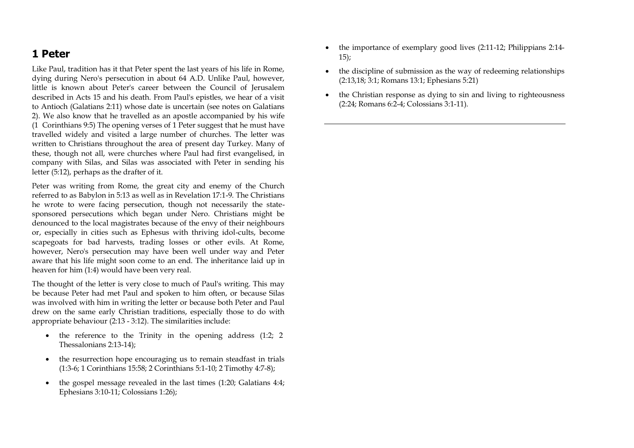# **1 Peter**

Like Paul, tradition has it that Peter spent the last years of his life in Rome, dying during Nero's persecution in about 64 A.D. Unlike Paul, however, little is known about Peter's career between the Council of Jerusalem described in Acts 15 and his death. From Paul's epistles, we hear of a visit to Antioch (Galatians 2:11) whose date is uncertain (see notes on Galatians 2). We also know that he travelled as an apostle accompanied by his wife (1 Corinthians 9:5) The opening verses of 1 Peter suggest that he must have travelled widely and visited a large number of churches. The letter was written to Christians throughout the area of present day Turkey. Many of these, though not all, were churches where Paul had first evangelised, in company with Silas, and Silas was associated with Peter in sending his letter (5:12), perhaps as the drafter of it.

Peter was writing from Rome, the great city and enemy of the Church referred to as Babylon in 5:13 as well as in Revelation 17:1-9. The Christians he wrote to were facing persecution, though not necessarily the statesponsored persecutions which began under Nero. Christians might be denounced to the local magistrates because of the envy of their neighbours or, especially in cities such as Ephesus with thriving idol-cults, become scapegoats for bad harvests, trading losses or other evils. At Rome, however, Nero's persecution may have been well under way and Peter aware that his life might soon come to an end. The inheritance laid up in heaven for him (1:4) would have been very real.

The thought of the letter is very close to much of Paul's writing. This may be because Peter had met Paul and spoken to him often, or because Silas was involved with him in writing the letter or because both Peter and Paul drew on the same early Christian traditions, especially those to do with appropriate behaviour (2:13 - 3:12). The similarities include:

- $\bullet$  the reference to the Trinity in the opening address (1:2; 2) Thessalonians 2:13-14);
- the resurrection hope encouraging us to remain steadfast in trials (1:3-6; 1 Corinthians 15:58; 2 Corinthians 5:1-10; 2 Timothy 4:7-8);
- the gospel message revealed in the last times (1:20; Galatians 4:4; Ephesians 3:10-11; Colossians 1:26);
- the importance of exemplary good lives (2:11-12; Philippians 2:14- $15$ ;
- the discipline of submission as the way of redeeming relationships (2:13,18; 3:1; Romans 13:1; Ephesians 5:21)
- the Christian response as dying to sin and living to righteousness (2:24; Romans 6:2-4; Colossians 3:1-11).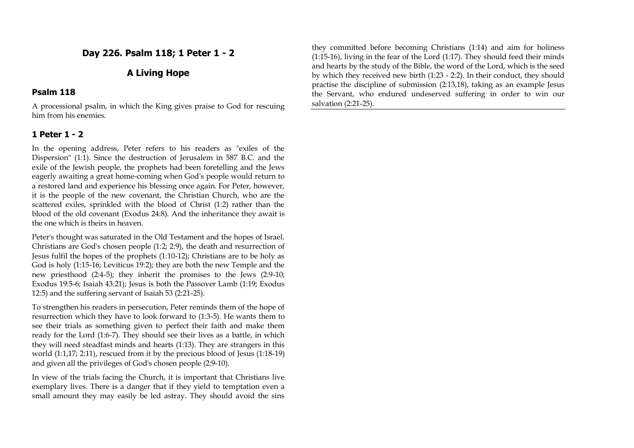## **Day 226. Psalm 118; 1 Peter 1 - 2**

## **A Living Hope**

#### **Psalm 118**

A processional psalm, in which the King gives praise to God for rescuing him from his enemies.

### **1 Peter 1 - 2**

In the opening address, Peter refers to his readers as "exiles of the Dispersion" (1:1). Since the destruction of Jerusalem in 587 B.C. and the exile of the Jewish people, the prophets had been foretelling and the Jews eagerly awaiting a great home-coming when God's people would return to a restored land and experience his blessing once again. For Peter, however, it is the people of the new covenant, the Christian Church, who are the scattered exiles, sprinkled with the blood of Christ (1:2) rather than the blood of the old covenant (Exodus 24:8). And the inheritance they await is the one which is theirs in heaven.

Peter's thought was saturated in the Old Testament and the hopes of Israel. Christians are God's chosen people (1:2; 2:9), the death and resurrection of Jesus fulfil the hopes of the prophets (1:10-12); Christians are to be holy as God is holy (1:15-16; Leviticus 19:2); they are both the new Temple and the new priesthood (2:4-5); they inherit the promises to the Jews (2:9-10; Exodus 19:5-6; Isaiah 43:21); Jesus is both the Passover Lamb (1:19; Exodus 12:5) and the suffering servant of Isaiah 53 (2:21-25).

To strengthen his readers in persecution, Peter reminds them of the hope of resurrection which they have to look forward to (1:3-5). He wants them to see their trials as something given to perfect their faith and make them ready for the Lord (1:6-7). They should see their lives as a battle, in which they will need steadfast minds and hearts (1:13). They are strangers in this world (1:1,17; 2:11), rescued from it by the precious blood of Jesus (1:18-19) and given all the privileges of God's chosen people (2:9-10).

In view of the trials facing the Church, it is important that Christians live exemplary lives. There is a danger that if they yield to temptation even a small amount they may easily be led astray. They should avoid the sins they committed before becoming Christians (1:14) and aim for holiness (1:15-16), living in the fear of the Lord (1:17). They should feed their minds and hearts by the study of the Bible, the word of the Lord, which is the seed by which they received new birth (1:23 - 2:2). In their conduct, they should practise the discipline of submission (2:13,18), taking as an example Jesus the Servant, who endured undeserved suffering in order to win our salvation (2:21-25).